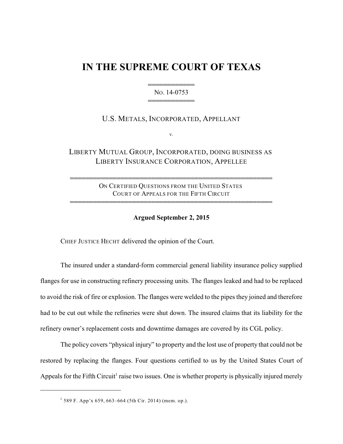## **IN THE SUPREME COURT OF TEXAS**

444444444444 NO. 14-0753 444444444444

U.S. METALS, INCORPORATED, APPELLANT

v.

LIBERTY MUTUAL GROUP, INCORPORATED, DOING BUSINESS AS LIBERTY INSURANCE CORPORATION, APPELLEE

> ON CERTIFIED QUESTIONS FROM THE UNITED STATES COURT OF APPEALS FOR THE FIFTH CIRCUIT

4444444444444444444444444444444444444444444444444444

4444444444444444444444444444444444444444444444444444

## **Argued September 2, 2015**

CHIEF JUSTICE HECHT delivered the opinion of the Court.

The insured under a standard-form commercial general liability insurance policy supplied flanges for use in constructing refinery processing units. The flanges leaked and had to be replaced to avoid the risk of fire or explosion. The flanges were welded to the pipes they joined and therefore had to be cut out while the refineries were shut down. The insured claims that its liability for the refinery owner's replacement costs and downtime damages are covered by its CGL policy.

The policy covers "physical injury" to property and the lost use of property that could not be restored by replacing the flanges. Four questions certified to us by the United States Court of Appeals for the Fifth Circuit<sup>1</sup> raise two issues. One is whether property is physically injured merely

 $1$  589 F. App'x 659, 663–664 (5th Cir. 2014) (mem. op.).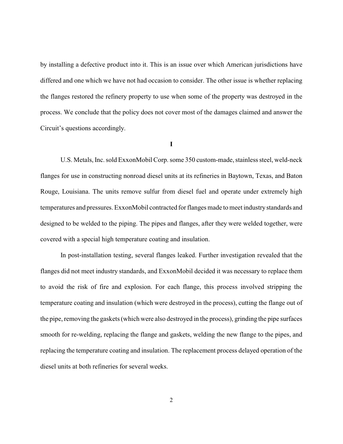by installing a defective product into it. This is an issue over which American jurisdictions have differed and one which we have not had occasion to consider. The other issue is whether replacing the flanges restored the refinery property to use when some of the property was destroyed in the process. We conclude that the policy does not cover most of the damages claimed and answer the Circuit's questions accordingly.

## **I**

U.S. Metals, Inc. sold ExxonMobil Corp. some 350 custom-made, stainless steel, weld-neck flanges for use in constructing nonroad diesel units at its refineries in Baytown, Texas, and Baton Rouge, Louisiana. The units remove sulfur from diesel fuel and operate under extremely high temperatures and pressures. ExxonMobil contracted for flanges made to meet industrystandards and designed to be welded to the piping. The pipes and flanges, after they were welded together, were covered with a special high temperature coating and insulation.

In post-installation testing, several flanges leaked. Further investigation revealed that the flanges did not meet industry standards, and ExxonMobil decided it was necessary to replace them to avoid the risk of fire and explosion. For each flange, this process involved stripping the temperature coating and insulation (which were destroyed in the process), cutting the flange out of the pipe, removing the gaskets (which were also destroyed in the process), grinding the pipe surfaces smooth for re-welding, replacing the flange and gaskets, welding the new flange to the pipes, and replacing the temperature coating and insulation. The replacement process delayed operation of the diesel units at both refineries for several weeks.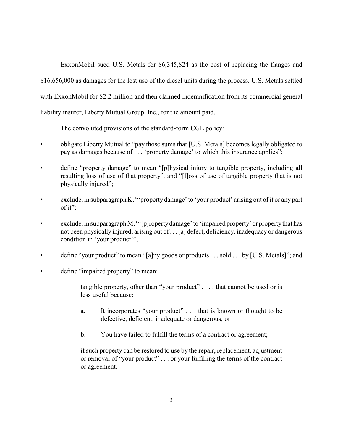ExxonMobil sued U.S. Metals for \$6,345,824 as the cost of replacing the flanges and \$16,656,000 as damages for the lost use of the diesel units during the process. U.S. Metals settled with ExxonMobil for \$2.2 million and then claimed indemnification from its commercial general liability insurer, Liberty Mutual Group, Inc., for the amount paid.

The convoluted provisions of the standard-form CGL policy:

- obligate Liberty Mutual to "pay those sums that [U.S. Metals] becomes legally obligated to pay as damages because of . . . 'property damage' to which this insurance applies";
- define "property damage" to mean "[p]hysical injury to tangible property, including all resulting loss of use of that property", and "[l]oss of use of tangible property that is not physically injured";
- exclude, in subparagraph K, "'property damage' to 'your product' arising out of it or any part of it";
- exclude, in subparagraph M, "'[p]roperty damage' to 'impaired property' or property that has not been physically injured, arising out of . . . [a] defect, deficiency, inadequacy or dangerous condition in 'your product'";
- define "your product" to mean "[a]ny goods or products . . . sold . . . by [U.S. Metals]"; and
- define "impaired property" to mean:
	- tangible property, other than "your product" . . . , that cannot be used or is less useful because:
	- a. It incorporates "your product" . . . that is known or thought to be defective, deficient, inadequate or dangerous; or
	- b. You have failed to fulfill the terms of a contract or agreement;

if such property can be restored to use by the repair, replacement, adjustment or removal of "your product" . . . or your fulfilling the terms of the contract or agreement.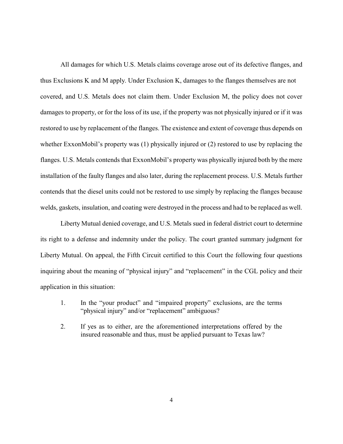All damages for which U.S. Metals claims coverage arose out of its defective flanges, and thus Exclusions K and M apply. Under Exclusion K, damages to the flanges themselves are not covered, and U.S. Metals does not claim them. Under Exclusion M, the policy does not cover damages to property, or for the loss of its use, if the property was not physically injured or if it was restored to use by replacement of the flanges. The existence and extent of coverage thus depends on whether ExxonMobil's property was (1) physically injured or (2) restored to use by replacing the flanges. U.S. Metals contends that ExxonMobil's property was physically injured both by the mere installation of the faulty flanges and also later, during the replacement process. U.S. Metals further contends that the diesel units could not be restored to use simply by replacing the flanges because welds, gaskets, insulation, and coating were destroyed in the process and had to be replaced as well.

Liberty Mutual denied coverage, and U.S. Metals sued in federal district court to determine its right to a defense and indemnity under the policy. The court granted summary judgment for Liberty Mutual. On appeal, the Fifth Circuit certified to this Court the following four questions inquiring about the meaning of "physical injury" and "replacement" in the CGL policy and their application in this situation:

- 1. In the "your product" and "impaired property" exclusions, are the terms "physical injury" and/or "replacement" ambiguous?
- 2. If yes as to either, are the aforementioned interpretations offered by the insured reasonable and thus, must be applied pursuant to Texas law?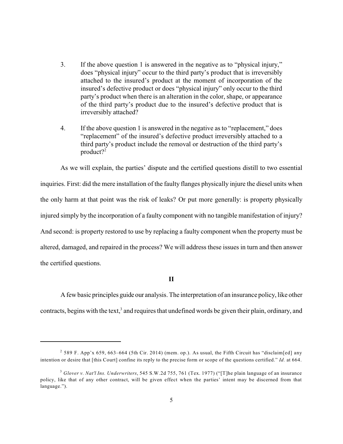- 3. If the above question 1 is answered in the negative as to "physical injury," does "physical injury" occur to the third party's product that is irreversibly attached to the insured's product at the moment of incorporation of the insured's defective product or does "physical injury" only occur to the third party's product when there is an alteration in the color, shape, or appearance of the third party's product due to the insured's defective product that is irreversibly attached?
- 4. If the above question 1 is answered in the negative as to "replacement," does "replacement" of the insured's defective product irreversibly attached to a third party's product include the removal or destruction of the third party's product?<sup>2</sup>

As we will explain, the parties' dispute and the certified questions distill to two essential inquiries. First: did the mere installation of the faulty flanges physically injure the diesel units when the only harm at that point was the risk of leaks? Or put more generally: is property physically injured simply by the incorporation of a faulty component with no tangible manifestation of injury? And second: is property restored to use by replacing a faulty component when the property must be altered, damaged, and repaired in the process? We will address these issues in turn and then answer the certified questions.

**II**

A fewbasic principles guide our analysis. The interpretation of an insurance policy, like other contracts, begins with the text, $3$  and requires that undefined words be given their plain, ordinary, and

<sup>&</sup>lt;sup>2</sup> 589 F. App'x 659, 663–664 (5th Cir. 2014) (mem. op.). As usual, the Fifth Circuit has "disclaim[ed] any intention or desire that [this Court] confine its reply to the precise form or scope of the questions certified." *Id.* at 664.

<sup>&</sup>lt;sup>3</sup> Glover v. Nat'l Ins. Underwriters, 545 S.W.2d 755, 761 (Tex. 1977) ("[T]he plain language of an insurance policy, like that of any other contract, will be given effect when the parties' intent may be discerned from that language.").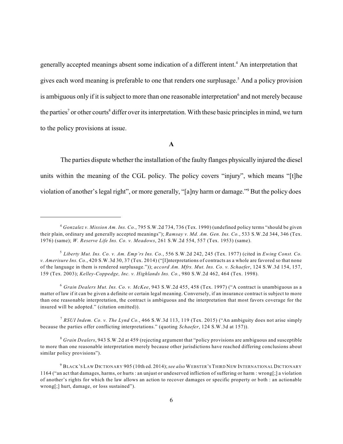generally accepted meanings absent some indication of a different intent.<sup>4</sup> An interpretation that gives each word meaning is preferable to one that renders one surplusage.<sup>5</sup> And a policy provision is ambiguous only if it is subject to more than one reasonable interpretation $\delta$  and not merely because the parties<sup>7</sup> or other courts<sup>8</sup> differ over its interpretation. With these basic principles in mind, we turn to the policy provisions at issue.

**A**

The parties dispute whether the installation of the faulty flanges physically injured the diesel units within the meaning of the CGL policy. The policy covers "injury", which means "[t]he violation of another's legal right", or more generally, "[a]ny harm or damage."<sup>9</sup> But the policy does

*RSUI Indem. Co. v. The Lynd Co.*, 466 S.W.3d 113, 119 (Tex. 2015) ("An ambiguity does not arise simply 7 because the parties offer conflicting interpretations." (quoting *Schaefer*, 124 S.W.3d at 157)).

*Grain Dealers*, 943 S.W.2d at 459 (rejecting argument that "policy provisions are ambiguous and susceptible 8 to more than one reasonable interpretation merely because other jurisdictions have reached differing conclusions about similar policy provisions").

*Gonzalez v. Mission Am. Ins. Co.*, 795 S.W.2d 734, 736 (Tex. 1990) (undefined policy terms "should be given 4 their plain, ordinary and generally accepted meanings"); *Ramsay v. Md. Am. Gen. Ins. Co.*, 533 S.W.2d 344, 346 (Tex. 1976) (same); *W. Reserve Life Ins. Co. v. Meadows*, 261 S.W.2d 554, 557 (Tex. 1953) (same).

*Liberty Mut. Ins. Co. v. Am. Emp'rs Ins. Co.*, 556 S.W.2d 242, 245 (Tex. 1977) (cited in *Ewing Const. Co.* 5 *v. Amerisure Ins. Co.*, 420 S.W.3d 30, 37 (Tex. 2014) ("[I]nterpretations of contracts as a whole are favored so that none of the language in them is rendered surplusage.")); *accord Am. Mfrs. Mut. Ins. Co. v. Schaefer*, 124 S.W.3d 154, 157, 159 (Tex. 2003); *Kelley-Coppedge, Inc. v. Highlands Ins. Co.*, 980 S.W.2d 462, 464 (Tex. 1998).

*Grain Dealers Mut. Ins. Co. v. McKee*, 943 S.W.2d 455, 458 (Tex. 1997) ("A contract is unambiguous as a 6 matter of law if it can be given a definite or certain legal meaning. Conversely, if an insurance contract is subject to more than one reasonable interpretation, the contract is ambiguous and the interpretation that most favors coverage for the insured will be adopted." (citation omitted)).

<sup>&</sup>lt;sup>9</sup> Black's Law Dictionary 905 (10th ed. 2014); *see also* Webster's Third New International Dictionary 1164 ("an act that damages, harms, or hurts : an unjust or undeserved infliction of suffering or harm : wrong[;] a violation of another's rights for which the law allows an action to recover damages or specific property or both : an actionable wrong[;] hurt, damage, or loss sustained").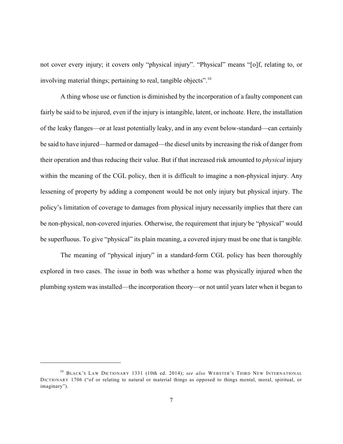not cover every injury; it covers only "physical injury". "Physical" means "[o]f, relating to, or involving material things; pertaining to real, tangible objects".<sup>10</sup>

A thing whose use or function is diminished by the incorporation of a faulty component can fairly be said to be injured, even if the injury is intangible, latent, or inchoate. Here, the installation of the leaky flanges—or at least potentially leaky, and in any event below-standard—can certainly be said to have injured—harmed or damaged—the diesel units by increasing the risk of danger from their operation and thus reducing their value. But if that increased risk amounted to *physical* injury within the meaning of the CGL policy, then it is difficult to imagine a non-physical injury. Any lessening of property by adding a component would be not only injury but physical injury. The policy's limitation of coverage to damages from physical injury necessarily implies that there can be non-physical, non-covered injuries. Otherwise, the requirement that injury be "physical" would be superfluous. To give "physical" its plain meaning, a covered injury must be one that is tangible.

The meaning of "physical injury" in a standard-form CGL policy has been thoroughly explored in two cases. The issue in both was whether a home was physically injured when the plumbing system was installed—the incorporation theory—or not until years later when it began to

<sup>&</sup>lt;sup>10</sup> BLACK'S LAW DICTIONARY 1331 (10th ed. 2014); *see also* WEBSTER'S THIRD NEW INTERNATIONAL DICTIONARY 1706 ("of or relating to natural or material things as opposed to things mental, moral, spiritual, or imaginary").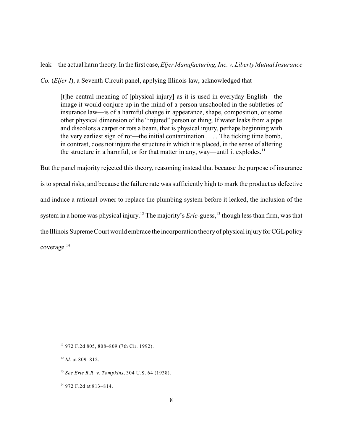leak—the actual harm theory. In the first case, *Eljer Manufacturing, Inc. v. Liberty Mutual Insurance*

*Co.* (*Eljer I*), a Seventh Circuit panel, applying Illinois law, acknowledged that

[t]he central meaning of [physical injury] as it is used in everyday English—the image it would conjure up in the mind of a person unschooled in the subtleties of insurance law—is of a harmful change in appearance, shape, composition, or some other physical dimension of the "injured" person or thing. If water leaks from a pipe and discolors a carpet or rots a beam, that is physical injury, perhaps beginning with the very earliest sign of rot—the initial contamination . . . . The ticking time bomb, in contrast, does not injure the structure in which it is placed, in the sense of altering the structure in a harmful, or for that matter in any, way—until it explodes.<sup>11</sup>

But the panel majority rejected this theory, reasoning instead that because the purpose of insurance is to spread risks, and because the failure rate was sufficiently high to mark the product as defective and induce a rational owner to replace the plumbing system before it leaked, the inclusion of the system in a home was physical injury.<sup>12</sup> The majority's *Erie*-guess,  $\frac{13}{2}$  though less than firm, was that the Illinois Supreme Court would embrace the incorporation theory of physical injury for CGL policy coverage.<sup>14</sup>

<sup>972</sup> F.2d 805, 808–809 (7th Cir. 1992). 11

 $12$  *Id.* at 809-812.

*See Erie R.R. v. Tompkins*, 304 U.S. 64 (1938). 13

<sup>&</sup>lt;sup>14</sup> 972 F.2d at 813-814.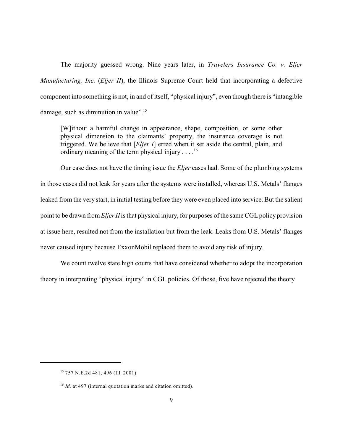The majority guessed wrong. Nine years later, in *Travelers Insurance Co. v. Eljer Manufacturing, Inc.* (*Eljer II*), the Illinois Supreme Court held that incorporating a defective component into something is not, in and of itself, "physical injury", even though there is "intangible damage, such as diminution in value".<sup>15</sup>

[W]ithout a harmful change in appearance, shape, composition, or some other physical dimension to the claimants' property, the insurance coverage is not triggered. We believe that [*Eljer I*] erred when it set aside the central, plain, and ordinary meaning of the term physical injury . . . .<sup>16</sup>

Our case does not have the timing issue the *Eljer* cases had. Some of the plumbing systems in those cases did not leak for years after the systems were installed, whereas U.S. Metals' flanges leaked from the very start, in initial testing before they were even placed into service. But the salient point to be drawn from *Eljer II* is that physical injury, for purposes of the same CGL policy provision at issue here, resulted not from the installation but from the leak. Leaks from U.S. Metals' flanges never caused injury because ExxonMobil replaced them to avoid any risk of injury.

We count twelve state high courts that have considered whether to adopt the incorporation theory in interpreting "physical injury" in CGL policies. Of those, five have rejected the theory

<sup>&</sup>lt;sup>15</sup> 757 N.E.2d 481, 496 (Ill. 2001).

<sup>&</sup>lt;sup>16</sup> Id. at 497 (internal quotation marks and citation omitted).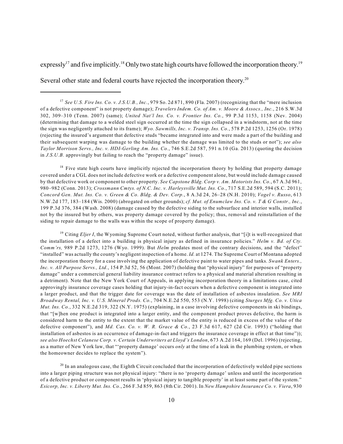expressly<sup>17</sup> and five implicitly.<sup>18</sup> Only two state high courts have followed the incorporation theory.<sup>19</sup>

Several other state and federal courts have rejected the incorporation theory.<sup>20</sup>

<sup>18</sup> Five state high courts have implicitly rejected the incorporation theory by holding that property damage covered under a CGL does not include defective work or a defective component alone, but would include damage caused by that defective work or component to other property. *See Capstone Bldg. Corp v. Am. Motorists Ins. Co.*, 67 A.3d 961, 980–982 (Conn. 2013); *Crossmann Cmtys. of N.C. Inc. v. Harleysville Mut. Ins. Co.*, 717 S.E.2d 589, 594 (S.C. 2011); *Concord Gen. Mut. Ins. Co. v. Green & Co. Bldg. & Dev. Corp.*, 8 A.3d 24, 26–28 (N.H. 2010); *Vogel v. Russo*, 613 N.W.2d 177, 183–184 (Wis. 2000) (abrogated on other grounds); *cf. Mut. of Enumclaw Ins. Co. v. T & G Constr., Inc.*, 199 P.3d 376, 384 (Wash. 2008) (damage caused by the defective siding to the subsurface and interior walls, installed not by the insured but by others, was property damage covered by the policy; thus, removal and reinstallation of the siding to repair damage to the walls was within the scope of property damage).

<sup>19</sup> Citing *Eljer I*, the Wyoming Supreme Court noted, without further analysis, that "[i]t is well-recognized that the installation of a defect into a building is physical injury as defined in insurance policies." *Helm v. Bd. of Cty. Comm'rs,* 989 P.2d 1273, 1276 (Wyo. 1999). But *Helm* predates most of the contrary decisions, and the "defect" "installed" was actually the county's negligent inspection of a home. *Id.* at 1274. The Supreme Court of Montana adopted the incorporation theory for a case involving the application of defective paint to water pipes and tanks. *Swank Enters., Inc. v. All Purpose Servs., Ltd.*, 154 P.3d 52, 56 (Mont. 2007) (holding that "physical injury" for purposes of "property damage" under a commercial general liability insurance contract refers to a physical and material alteration resulting in a detriment). Note that the New York Court of Appeals, in applying incorporation theory in a limitations case, cited approvingly insurance coverage cases holding that injury-in-fact occurs when a defective component is integrated into a larger product, and that the trigger date for coverage was the date of installation of asbestos insulation. *See MRI Broadway Rental, Inc. v. U.S. Mineral Prods. Co.*, 704 N.E.2d 550, 553 (N.Y. 1998) (citing *Sturges Mfg. Co. v. Utica Mut. Ins. Co.*, 332 N.E.2d 319, 322 (N.Y. 1975) (explaining, in a case involving defective components in ski bindings, that "[w]hen one product is integrated into a larger entity, and the component product proves defective, the harm is considered harm to the entity to the extent that the market value of the entity is reduced in excess of the value of the defective component"), and *Md. Cas. Co. v. W. R. Grace & Co.*, 23 F.3d 617, 627 (2d Cir. 1993) ("holding that installation of asbestos is an occurrence of damage-in-fact and triggers the insurance coverage in effect at that time")); *see also Hoechst Celanese Corp. v. Certain Underwriters at Lloyd's London*, 673 A.2d 164, 169 (Del. 1996) (rejecting, as a matter of New York law, that "'property damage' occurs *only* at the time of a leak in the plumbing system, or when the homeowner decides to replace the system").

 $^{20}$  In an analogous case, the Eighth Circuit concluded that the incorporation of defectively welded pipe sections into a larger piping structure was not physical injury: "there is no 'property damage' unless and until the incorporation of a defective product or component results in 'physical injury to tangible property' in at least some part of the system." *Esicorp, Inc. v. Liberty Mut. Ins. Co.*, 266 F.3d 859, 863 (8th Cir. 2001). In *New Hampshire Insurance Co. v. Viera*, 930

*See U.S. Fire Ins. Co. v. J.S.U.B., Inc.*, 979 So. 2d 871, 890 (Fla. 2007) (recognizing that the "mere inclusion 17 of a defective component" is not property damage); *Travelers Indem. Co. of Am. v. Moore & Assocs., Inc.*, 216 S.W.3d 302, 309–310 (Tenn. 2007) (same); *United Nat'l Ins. Co. v. Frontier Ins. Co.*, 99 P.3d 1153, 1158 (Nev. 2004) (determining that damage to a welded steel sign occurred at the time the sign collapsed in a windstorm, not at the time the sign was negligently attached to its frame); *Wyo. Sawmills, Inc. v. Transp. Ins. Co.*, 578 P.2d 1253, 1256 (Or. 1978) (rejecting the insured's argument that defective studs "became integrated into and were made a part of the building and their subsequent warping was damage to the building whether the damage was limited to the studs or not"); *see also Taylor Morrison Servs., Inc. v. HDI-Gerling Am. Ins. Co.*, 746 S.E.2d 587, 591 n.10 (Ga. 2013) (quoting the decision in *J.S.U.B.* approvingly but failing to reach the "property damage" issue).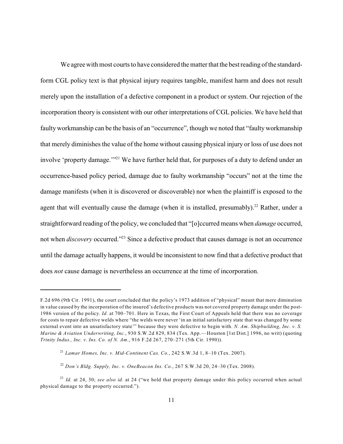We agree with most courts to have considered the matter that the best reading of the standardform CGL policy text is that physical injury requires tangible, manifest harm and does not result merely upon the installation of a defective component in a product or system. Our rejection of the incorporation theory is consistent with our other interpretations of CGL policies. We have held that faulty workmanship can be the basis of an "occurrence", though we noted that "faulty workmanship that merely diminishes the value of the home without causing physical injury or loss of use does not involve 'property damage."<sup>21</sup> We have further held that, for purposes of a duty to defend under an occurrence-based policy period, damage due to faulty workmanship "occurs" not at the time the damage manifests (when it is discovered or discoverable) nor when the plaintiff is exposed to the agent that will eventually cause the damage (when it is installed, presumably).<sup>22</sup> Rather, under a straightforward reading of the policy, we concluded that "[o]ccurred means when *damage* occurred, not when *discovery* occurred."<sup>23</sup> Since a defective product that causes damage is not an occurrence until the damage actually happens, it would be inconsistent to now find that a defective product that does *not* cause damage is nevertheless an occurrence at the time of incorporation.

F.2d 696 (9th Cir. 1991), the court concluded that the policy's 1973 addition of "physical" meant that mere diminution in value caused by the incorporation of the insured's defective products was not covered property damage under the post-1986 version of the policy. *Id.* at 700–701. Here in Texas, the First Court of Appeals held that there was no coverage for costs to repair defective welds where "the welds were never 'in an initial satisfactory state that was changed by some external event into an unsatisfactory state'" because they were defective to begin with. *N. Am. Shipbuilding, Inc. v. S. Marine & Aviation Underwriting, Inc.*, 930 S.W.2d 829, 834 (Tex. App.—Houston [1st Dist.] 1996, no writ) (quoting *Trinity Indus., Inc. v. Ins. Co. of N. Am.*, 916 F.2d 267, 270–271 (5th Cir. 1990)).

*Lamar Homes, Inc. v. Mid-Continent Cas. Co.*, 242 S.W.3d 1, 8–10 (Tex. 2007). 21

*Don's Bldg. Supply, Inc. v. OneBeacon Ins. Co.*, 267 S.W.3d 20, 24–30 (Tex. 2008). 22

*Id.* at 24, 30; *see also id.* at 24 ("we hold that property damage under this policy occurred when actual 23 physical damage to the property occurred.").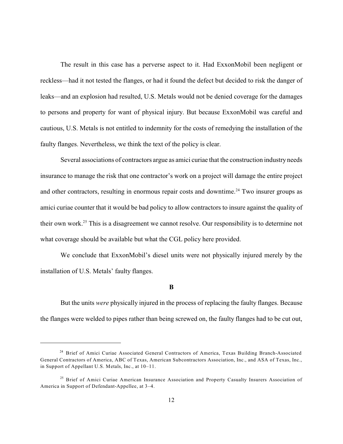The result in this case has a perverse aspect to it. Had ExxonMobil been negligent or reckless—had it not tested the flanges, or had it found the defect but decided to risk the danger of leaks—and an explosion had resulted, U.S. Metals would not be denied coverage for the damages to persons and property for want of physical injury. But because ExxonMobil was careful and cautious, U.S. Metals is not entitled to indemnity for the costs of remedying the installation of the faulty flanges. Nevertheless, we think the text of the policy is clear.

Several associations of contractors argue as amici curiae that the construction industry needs insurance to manage the risk that one contractor's work on a project will damage the entire project and other contractors, resulting in enormous repair costs and downtime.<sup>24</sup> Two insurer groups as amici curiae counter that it would be bad policy to allow contractors to insure against the quality of their own work.<sup>25</sup> This is a disagreement we cannot resolve. Our responsibility is to determine not what coverage should be available but what the CGL policy here provided.

We conclude that ExxonMobil's diesel units were not physically injured merely by the installation of U.S. Metals' faulty flanges.

**B**

But the units *were* physically injured in the process of replacing the faulty flanges. Because the flanges were welded to pipes rather than being screwed on, the faulty flanges had to be cut out,

<sup>&</sup>lt;sup>24</sup> Brief of Amici Curiae Associated General Contractors of America, Texas Building Branch-Associated General Contractors of America, ABC of Texas, American Subcontractors Association, Inc., and ASA of Texas, Inc., in Support of Appellant U.S. Metals, Inc., at 10–11.

<sup>&</sup>lt;sup>25</sup> Brief of Amici Curiae American Insurance Association and Property Casualty Insurers Association of America in Support of Defendant-Appellee, at 3–4.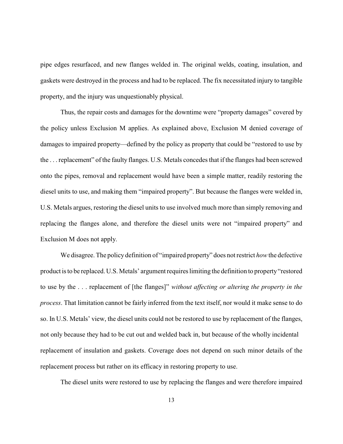pipe edges resurfaced, and new flanges welded in. The original welds, coating, insulation, and gaskets were destroyed in the process and had to be replaced. The fix necessitated injury to tangible property, and the injury was unquestionably physical.

Thus, the repair costs and damages for the downtime were "property damages" covered by the policy unless Exclusion M applies. As explained above, Exclusion M denied coverage of damages to impaired property—defined by the policy as property that could be "restored to use by the . . . replacement" of the faulty flanges. U.S. Metals concedes that if the flanges had been screwed onto the pipes, removal and replacement would have been a simple matter, readily restoring the diesel units to use, and making them "impaired property". But because the flanges were welded in, U.S. Metals argues, restoring the diesel units to use involved much more than simply removing and replacing the flanges alone, and therefore the diesel units were not "impaired property" and Exclusion M does not apply.

We disagree. The policy definition of "impaired property" does not restrict *how*the defective product is to be replaced. U.S. Metals' argument requires limiting the definition to property"restored to use by the . . . replacement of [the flanges]" *without affecting or altering the property in the process*. That limitation cannot be fairly inferred from the text itself, nor would it make sense to do so. In U.S. Metals' view, the diesel units could not be restored to use by replacement of the flanges, not only because they had to be cut out and welded back in, but because of the wholly incidental replacement of insulation and gaskets. Coverage does not depend on such minor details of the replacement process but rather on its efficacy in restoring property to use.

The diesel units were restored to use by replacing the flanges and were therefore impaired